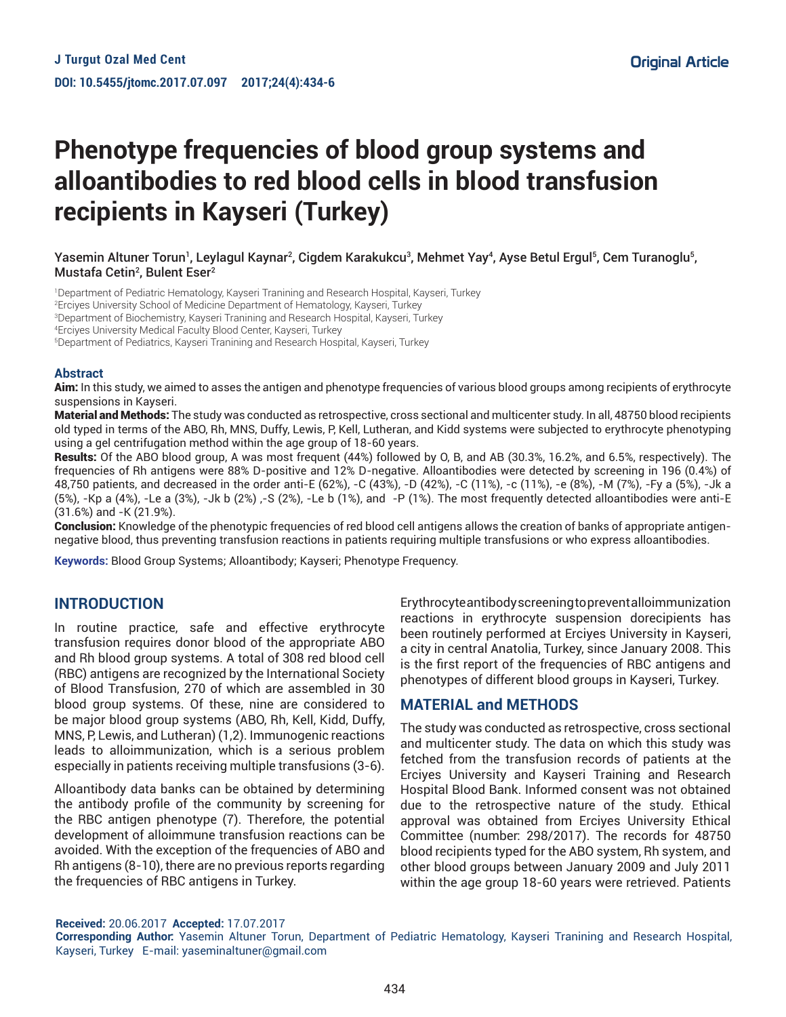# **Phenotype frequencies of blood group systems and alloantibodies to red blood cells in blood transfusion recipients in Kayseri (Turkey)**

Yasemin Altuner Torun<sup>1</sup>, Leylagul Kaynar<sup>2</sup>, Cigdem Karakukcu<sup>3</sup>, Mehmet Yay<sup>4</sup>, Ayse Betul Ergul<sup>5</sup>, Cem Turanoglu<sup>5</sup>, Mustafa Cetin<sup>2</sup>, Bulent Eser<sup>2</sup>

1 Department of Pediatric Hematology, Kayseri Tranining and Research Hospital, Kayseri, Turkey 2 Erciyes University School of Medicine Department of Hematology, Kayseri, Turkey 3 Department of Biochemistry, Kayseri Tranining and Research Hospital, Kayseri, Turkey

4 Erciyes University Medical Faculty Blood Center, Kayseri, Turkey

5 Department of Pediatrics, Kayseri Tranining and Research Hospital, Kayseri, Turkey

#### **Abstract**

Aim: In this study, we aimed to asses the antigen and phenotype frequencies of various blood groups among recipients of erythrocyte suspensions in Kayseri.

Material and Methods: The study was conducted as retrospective, cross sectional and multicenter study. In all, 48750 blood recipients old typed in terms of the ABO, Rh, MNS, Duffy, Lewis, P, Kell, Lutheran, and Kidd systems were subjected to erythrocyte phenotyping using a gel centrifugation method within the age group of 18-60 years.

Results: Of the ABO blood group, A was most frequent (44%) followed by O, B, and AB (30.3%, 16.2%, and 6.5%, respectively). The frequencies of Rh antigens were 88% D-positive and 12% D-negative. Alloantibodies were detected by screening in 196 (0.4%) of 48,750 patients, and decreased in the order anti-E (62%), -C (43%), -D (42%), -C (11%), -c (11%), -e (8%), -M (7%), -Fy a (5%), -Jk a (5%), -Kp a (4%), -Le a (3%), -Jk b (2%) ,-S (2%), -Le b (1%), and -P (1%). The most frequently detected alloantibodies were anti-E (31.6%) and -K (21.9%).

Conclusion: Knowledge of the phenotypic frequencies of red blood cell antigens allows the creation of banks of appropriate antigennegative blood, thus preventing transfusion reactions in patients requiring multiple transfusions or who express alloantibodies.

**Keywords:** Blood Group Systems; Alloantibody; Kayseri; Phenotype Frequency.

#### **INTRODUCTION**

In routine practice, safe and effective erythrocyte transfusion requires donor blood of the appropriate ABO and Rh blood group systems. A total of 308 red blood cell (RBC) antigens are recognized by the International Society of Blood Transfusion, 270 of which are assembled in 30 blood group systems. Of these, nine are considered to be major blood group systems (ABO, Rh, Kell, Kidd, Duffy, MNS, P, Lewis, and Lutheran) (1,2). Immunogenic reactions leads to alloimmunization, which is a serious problem especially in patients receiving multiple transfusions (3-6).

Alloantibody data banks can be obtained by determining the antibody profile of the community by screening for the RBC antigen phenotype (7). Therefore, the potential development of alloimmune transfusion reactions can be avoided. With the exception of the frequencies of ABO and Rh antigens (8-10), there are no previous reports regarding the frequencies of RBC antigens in Turkey.

Erythrocyte antibody screening to prevent alloimmunization reactions in erythrocyte suspension dorecipients has been routinely performed at Erciyes University in Kayseri, a city in central Anatolia, Turkey, since January 2008. This is the first report of the frequencies of RBC antigens and phenotypes of different blood groups in Kayseri, Turkey.

#### **MATERIAL and METHODS**

The study was conducted as retrospective, cross sectional and multicenter study. The data on which this study was fetched from the transfusion records of patients at the Erciyes University and Kayseri Training and Research Hospital Blood Bank. Informed consent was not obtained due to the retrospective nature of the study. Ethical approval was obtained from Erciyes University Ethical Committee (number: 298/2017). The records for 48750 blood recipients typed for the ABO system, Rh system, and other blood groups between January 2009 and July 2011 within the age group 18-60 years were retrieved. Patients

**Received:** 20.06.2017 **Accepted:** 17.07.2017

**Corresponding Author:** Yasemin Altuner Torun, Department of Pediatric Hematology, Kayseri Tranining and Research Hospital, Kayseri, Turkey E-mail: yaseminaltuner@gmail.com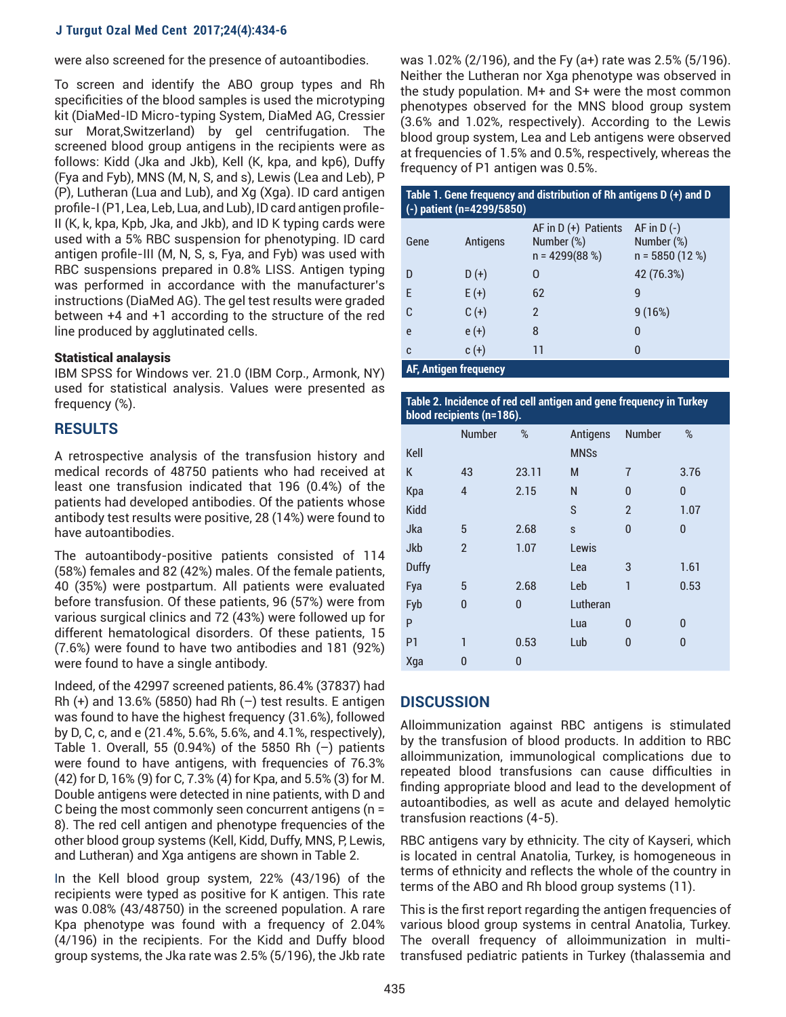#### **J Turgut Ozal Med Cent 2017;24(4):434-6**

were also screened for the presence of autoantibodies.

To screen and identify the ABO group types and Rh specificities of the blood samples is used the microtyping kit (DiaMed-ID Micro-typing System, DiaMed AG, Cressier sur Morat,Switzerland) by gel centrifugation. The screened blood group antigens in the recipients were as follows: Kidd (Jka and Jkb), Kell (K, kpa, and kp6), Duffy (Fya and Fyb), MNS (M, N, S, and s), Lewis (Lea and Leb), P (P), Lutheran (Lua and Lub), and Xg (Xga). ID card antigen profile-I (P1, Lea, Leb, Lua, and Lub), ID card antigen profile-II (K, k, kpa, Kpb, Jka, and Jkb), and ID K typing cards were used with a 5% RBC suspension for phenotyping. ID card antigen profile-III (M, N, S, s, Fya, and Fyb) was used with RBC suspensions prepared in 0.8% LISS. Antigen typing was performed in accordance with the manufacturer's instructions (DiaMed AG). The gel test results were graded between +4 and +1 according to the structure of the red line produced by agglutinated cells.

#### Statistical analaysis

IBM SPSS for Windows ver. 21.0 (IBM Corp., Armonk, NY) used for statistical analysis. Values were presented as frequency (%).

### **RESULTS**

A retrospective analysis of the transfusion history and medical records of 48750 patients who had received at least one transfusion indicated that 196 (0.4%) of the patients had developed antibodies. Of the patients whose antibody test results were positive, 28 (14%) were found to have autoantibodies.

The autoantibody-positive patients consisted of 114 (58%) females and 82 (42%) males. Of the female patients, 40 (35%) were postpartum. All patients were evaluated before transfusion. Of these patients, 96 (57%) were from various surgical clinics and 72 (43%) were followed up for different hematological disorders. Of these patients, 15 (7.6%) were found to have two antibodies and 181 (92%) were found to have a single antibody.

Indeed, of the 42997 screened patients, 86.4% (37837) had Rh  $(+)$  and 13.6% (5850) had Rh  $(-)$  test results. E antigen was found to have the highest frequency (31.6%), followed by D, C, c, and e (21.4%, 5.6%, 5.6%, and 4.1%, respectively), Table 1. Overall, 55 (0.94%) of the 5850 Rh  $(-)$  patients were found to have antigens, with frequencies of 76.3% (42) for D, 16% (9) for C, 7.3% (4) for Kpa, and 5.5% (3) for M. Double antigens were detected in nine patients, with D and C being the most commonly seen concurrent antigens (n = 8). The red cell antigen and phenotype frequencies of the other blood group systems (Kell, Kidd, Duffy, MNS, P, Lewis, and Lutheran) and Xga antigens are shown in Table 2.

In the Kell blood group system, 22% (43/196) of the recipients were typed as positive for K antigen. This rate was 0.08% (43/48750) in the screened population. A rare Kpa phenotype was found with a frequency of 2.04% (4/196) in the recipients. For the Kidd and Duffy blood group systems, the Jka rate was 2.5% (5/196), the Jkb rate

was 1.02% (2/196), and the Fy (a+) rate was 2.5% (5/196). Neither the Lutheran nor Xga phenotype was observed in the study population. M+ and S+ were the most common phenotypes observed for the MNS blood group system (3.6% and 1.02%, respectively). According to the Lewis blood group system, Lea and Leb antigens were observed at frequencies of 1.5% and 0.5%, respectively, whereas the frequency of P1 antigen was 0.5%.

|                              | $(-)$ patient (n=4299/5850) | Table 1. Gene frequency and distribution of Rh antigens D (+) and D |                                                 |  |  |  |
|------------------------------|-----------------------------|---------------------------------------------------------------------|-------------------------------------------------|--|--|--|
| Gene                         | Antigens                    | AF in $D (+)$ Patients<br>Number (%)<br>$n = 4299(88%)$             | $AF$ in $D(-)$<br>Number (%)<br>$n = 5850(12%)$ |  |  |  |
| D                            | $D(+)$                      | O                                                                   | 42 (76.3%)                                      |  |  |  |
| F                            | $E(+)$                      | 62                                                                  | q                                               |  |  |  |
| C                            | $C (+)$                     | $\mathfrak{p}$                                                      | 9(16%)                                          |  |  |  |
| e                            | $e (+)$                     | 8                                                                   | 0                                               |  |  |  |
| $c (+)$<br>C                 |                             | 11                                                                  | 0                                               |  |  |  |
| <b>AF, Antigen frequency</b> |                             |                                                                     |                                                 |  |  |  |

**Table 2. Incidence of red cell antigen and gene frequency in Turkey blood recipients (n=186).**

| v.             |                |              |             |                |          |
|----------------|----------------|--------------|-------------|----------------|----------|
|                | <b>Number</b>  | %            | Antigens    | Number         | %        |
| Kell           |                |              | <b>MNSs</b> |                |          |
| К              | 43             | 23.11        | M           | $\overline{7}$ | 3.76     |
| Kpa            | $\overline{4}$ | 2.15         | N           | 0              | $\bf{0}$ |
| <b>Kidd</b>    |                |              | S           | $\overline{2}$ | 1.07     |
| Jka            | 5              | 2.68         | S           | 0              | $\bf{0}$ |
| Jkb            | $\overline{2}$ | 1.07         | Lewis       |                |          |
| Duffy          |                |              | Lea         | 3              | 1.61     |
| Fya            | 5              | 2.68         | Leb         | 1              | 0.53     |
| Fyb            | $\mathbf 0$    | $\mathbf{0}$ | Lutheran    |                |          |
| P              |                |              | Lua         | $\bf{0}$       | $\bf{0}$ |
| P <sub>1</sub> | 1              | 0.53         | Lub         | 0              | 0        |
| Xga            | 0              | 0            |             |                |          |

## **DISCUSSION**

Alloimmunization against RBC antigens is stimulated by the transfusion of blood products. In addition to RBC alloimmunization, immunological complications due to repeated blood transfusions can cause difficulties in finding appropriate blood and lead to the development of autoantibodies, as well as acute and delayed hemolytic transfusion reactions (4-5).

RBC antigens vary by ethnicity. The city of Kayseri, which is located in central Anatolia, Turkey, is homogeneous in terms of ethnicity and reflects the whole of the country in terms of the ABO and Rh blood group systems (11).

This is the first report regarding the antigen frequencies of various blood group systems in central Anatolia, Turkey. The overall frequency of alloimmunization in multitransfused pediatric patients in Turkey (thalassemia and